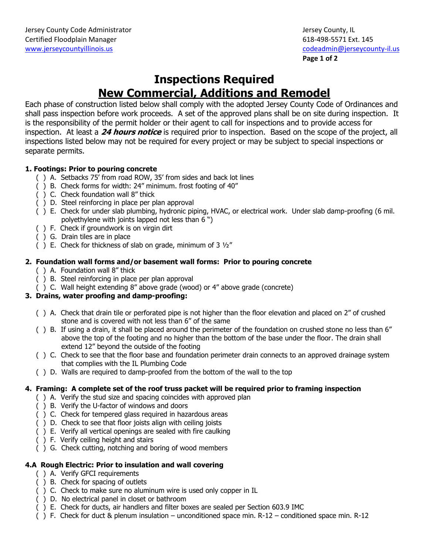# **Inspections Required New Commercial, Additions and Remodel**

Each phase of construction listed below shall comply with the adopted Jersey County Code of Ordinances and shall pass inspection before work proceeds. A set of the approved plans shall be on site during inspection. It is the responsibility of the permit holder or their agent to call for inspections and to provide access for inspection. At least a **24 hours notice** is required prior to inspection. Based on the scope of the project, all inspections listed below may not be required for every project or may be subject to special inspections or separate permits.

## **1. Footings: Prior to pouring concrete**

- ( ) A. Setbacks 75' from road ROW, 35' from sides and back lot lines
- ( ) B. Check forms for width: 24" minimum. frost footing of 40"
- ( ) C. Check foundation wall 8" thick
- ( ) D. Steel reinforcing in place per plan approval
- ( ) E. Check for under slab plumbing, hydronic piping, HVAC, or electrical work. Under slab damp-proofing (6 mil. polyethylene with joints lapped not less than 6 ")
- ( ) F. Check if groundwork is on virgin dirt
- ( ) G. Drain tiles are in place
- () E. Check for thickness of slab on grade, minimum of  $3\frac{1}{2}$ "

## **2. Foundation wall forms and/or basement wall forms: Prior to pouring concrete**

- ( ) A. Foundation wall 8" thick
- ( ) B. Steel reinforcing in place per plan approval
- ( ) C. Wall height extending 8" above grade (wood) or 4" above grade (concrete)

## **3. Drains, water proofing and damp-proofing:**

- ( ) A. Check that drain tile or perforated pipe is not higher than the floor elevation and placed on 2" of crushed stone and is covered with not less than 6" of the same
- ( ) B. If using a drain, it shall be placed around the perimeter of the foundation on crushed stone no less than 6" above the top of the footing and no higher than the bottom of the base under the floor. The drain shall extend 12" beyond the outside of the footing
- ( ) C. Check to see that the floor base and foundation perimeter drain connects to an approved drainage system that complies with the IL Plumbing Code
- ( ) D. Walls are required to damp-proofed from the bottom of the wall to the top

### **4. Framing: A complete set of the roof truss packet will be required prior to framing inspection**

- ( ) A. Verify the stud size and spacing coincides with approved plan
- ( ) B. Verify the U-factor of windows and doors
- ( ) C. Check for tempered glass required in hazardous areas
- ( ) D. Check to see that floor joists align with ceiling joists
- ( ) E. Verify all vertical openings are sealed with fire caulking
- ( ) F. Verify ceiling height and stairs
- ( ) G. Check cutting, notching and boring of wood members

### **4.A Rough Electric: Prior to insulation and wall covering**

- ( ) A. Verify GFCI requirements
- ( ) B. Check for spacing of outlets
- ( ) C. Check to make sure no aluminum wire is used only copper in IL
- ( ) D. No electrical panel in closet or bathroom
- ( ) E. Check for ducts, air handlers and filter boxes are sealed per Section 603.9 IMC
- ( ) F. Check for duct & plenum insulation unconditioned space min. R-12 conditioned space min. R-12